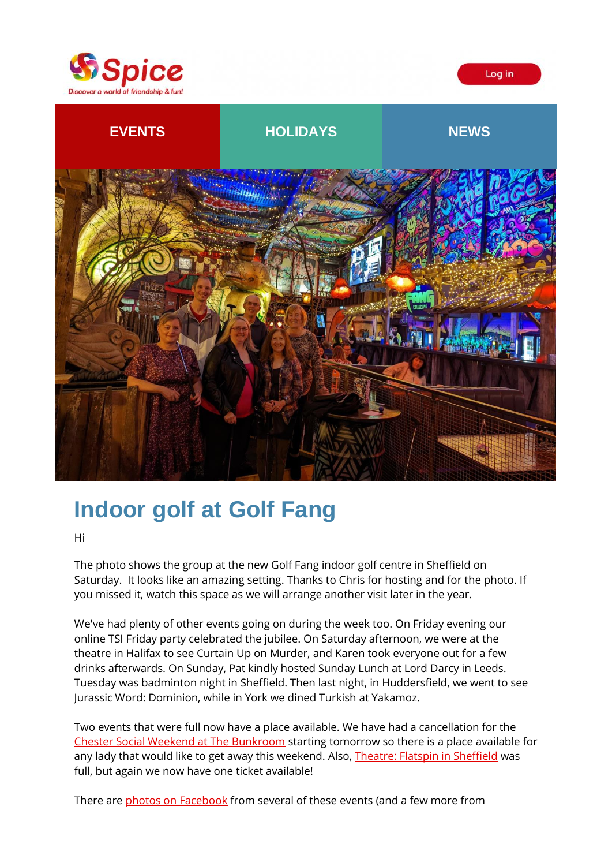

Log in



# **Indoor golf at Golf Fang**

Hi

The photo shows the group at the new Golf Fang indoor golf centre in Sheffield on Saturday. It looks like an amazing setting. Thanks to Chris for hosting and for the photo. If you missed it, watch this space as we will arrange another visit later in the year.

We've had plenty of other events going on during the week too. On Friday evening our online TSI Friday party celebrated the jubilee. On Saturday afternoon, we were at the theatre in Halifax to see Curtain Up on Murder, and Karen took everyone out for a few drinks afterwards. On Sunday, Pat kindly hosted Sunday Lunch at Lord Darcy in Leeds. Tuesday was badminton night in Sheffield. Then last night, in Huddersfield, we went to see Jurassic Word: Dominion, while in York we dined Turkish at Yakamoz.

Two events that were full now have a place available. We have had a cancellation for the [Chester Social Weekend at The Bunkroom](https://spiceuk.lt.acemlna.com/Prod/link-tracker?redirectUrl=aHR0cHMlM0ElMkYlMkZ3d3cuc3BpY2V1ay5jb20lMkZldmVudHMtaG9saWRheXMlMkZjaGVzdGVyLXNvY2lhbC13ZWVrZW5kLWF0LXRoZS1idW5rcm9vbQ==&sig=MY78Sqjq8WobRiuVL58mvjmPyHm3dyYi68Zu41awKRE&iat=1655399179&a=%7C%7C650344965%7C%7C&account=spiceuk%2Eactivehosted%2Ecom&email=1lNuJE%2BrfgC%2F8jRYTdcwIV8mo4ad0FCroTtAVDq%2FbzQ%3D&s=b900027c55ea3ffe9431fd4817f89468&i=364A375A4A9756) starting tomorrow so there is a place available for any lady that would like to get away this weekend. Also, [Theatre: Flatspin in Sheffield](https://spiceuk.lt.acemlna.com/Prod/link-tracker?redirectUrl=aHR0cHMlM0ElMkYlMkZ3d3cuc3BpY2V1ay5jb20lMkZldmVudHMtaG9saWRheXMlMkZ0aGVhdHJlLWZsYXRzcGluLWluLXNoZWZmaWVsZC0zMC1qdW4tMjI=&sig=HhMWo3hscUWrtaA2FsYJyrM38DCEL4aY8Uc9PKRmfoD&iat=1655399179&a=%7C%7C650344965%7C%7C&account=spiceuk%2Eactivehosted%2Ecom&email=1lNuJE%2BrfgC%2F8jRYTdcwIV8mo4ad0FCroTtAVDq%2FbzQ%3D&s=b900027c55ea3ffe9431fd4817f89468&i=364A375A4A9757) was full, but again we now have one ticket available!

There are [photos on Facebook](https://spiceuk.lt.acemlna.com/Prod/link-tracker?redirectUrl=aHR0cHMlM0ElMkYlMkZ3d3cuZmFjZWJvb2suY29tJTJGbWVkaWElMkZzZXQlMkYlM0ZzZXQlM0RhLjEwMTU4NjI2NjY5MzcwODg3&sig=9JHL3Fdof6vW59SFyJzES68CUMhbxsvCve6AT45zJrNq&iat=1655399179&a=%7C%7C650344965%7C%7C&account=spiceuk%2Eactivehosted%2Ecom&email=1lNuJE%2BrfgC%2F8jRYTdcwIV8mo4ad0FCroTtAVDq%2FbzQ%3D&s=b900027c55ea3ffe9431fd4817f89468&i=364A375A4A9610) from several of these events (and a few more from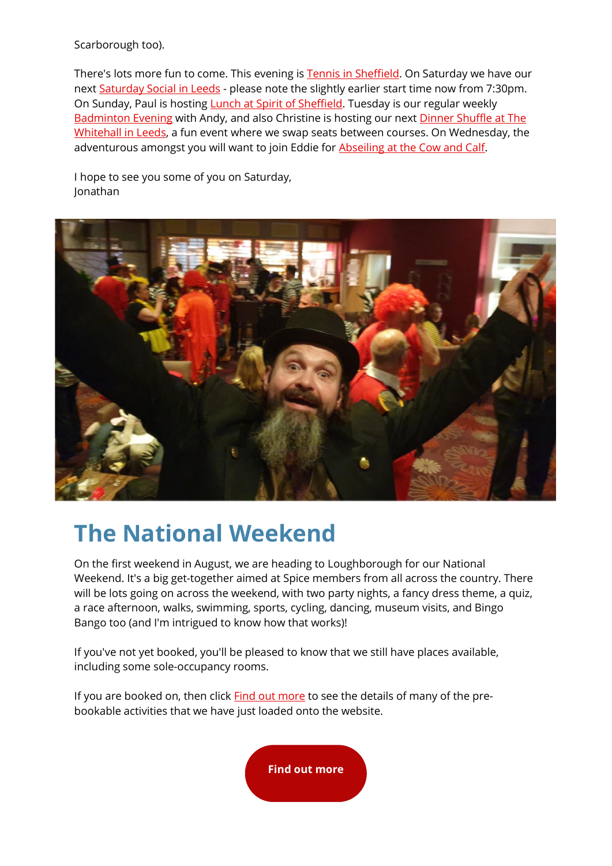Scarborough too).

There's lots more fun to come. This evening i[s Tennis in Sheffield.](https://spiceuk.lt.acemlna.com/Prod/link-tracker?redirectUrl=aHR0cHMlM0ElMkYlMkZ3d3cuc3BpY2V1ay5jb20lMkZldmVudHMtaG9saWRheXMlMkZ0ZW5uaXMtYXQtaGlnaC1oYXplbHMtcGFyay0xNi1qdW4tMjI=&sig=7bVh3TC1ZTWzrKjtgoTiy98wPaQf3Hy4FSxYjbwH8v53&iat=1655399179&a=%7C%7C650344965%7C%7C&account=spiceuk%2Eactivehosted%2Ecom&email=1lNuJE%2BrfgC%2F8jRYTdcwIV8mo4ad0FCroTtAVDq%2FbzQ%3D&s=b900027c55ea3ffe9431fd4817f89468&i=364A375A4A9639) On Saturday we have our next [Saturday Social in Leeds](https://spiceuk.lt.acemlna.com/Prod/link-tracker?redirectUrl=aHR0cHMlM0ElMkYlMkZ3d3cuc3BpY2V1ay5jb20lMkZldmVudHMtaG9saWRheXMlMkZzYXR1cmRheS1zb2NpYWwtYXQtdGhlLXdoaXRlLXN3YW4tbGVlZHMtMTgtanVuLTIy&sig=8Ejk3GKDvVeMXW2qtU5sQeXjHGMzKw5QcxwQ7wFUW7ka&iat=1655399179&a=%7C%7C650344965%7C%7C&account=spiceuk%2Eactivehosted%2Ecom&email=1lNuJE%2BrfgC%2F8jRYTdcwIV8mo4ad0FCroTtAVDq%2FbzQ%3D&s=b900027c55ea3ffe9431fd4817f89468&i=364A375A4A9640) - please note the slightly earlier start time now from 7:30pm. On Sunday, Paul is hosting [Lunch at Spirit of Sheffield.](https://spiceuk.lt.acemlna.com/Prod/link-tracker?redirectUrl=aHR0cHMlM0ElMkYlMkZ3d3cuc3BpY2V1ay5jb20lMkZldmVudHMtaG9saWRheXMlMkZzdW5kYXktbHVuY2gtYXQtc3Bpcml0LW9mLXNoZWZmaWVsZA==&sig=FYfoMctbzeFsee5ygoo6aL5sLVzazpKTnHpqV7AS2JQi&iat=1655399179&a=%7C%7C650344965%7C%7C&account=spiceuk%2Eactivehosted%2Ecom&email=1lNuJE%2BrfgC%2F8jRYTdcwIV8mo4ad0FCroTtAVDq%2FbzQ%3D&s=b900027c55ea3ffe9431fd4817f89468&i=364A375A4A9641) Tuesday is our regular weekly [Badminton Evening](https://spiceuk.lt.acemlna.com/Prod/link-tracker?redirectUrl=aHR0cHMlM0ElMkYlMkZ3d3cuc3BpY2V1ay5jb20lMkZldmVudHMtaG9saWRheXMlMkZiYWRtaW50b24taW4tc2hlZmZpZWxkLTIxLWp1bi0yMg==&sig=2xf2Qny4WnDoPbTALyraiav1bd65V6uYPtKCBFDfEUdf&iat=1655399179&a=%7C%7C650344965%7C%7C&account=spiceuk%2Eactivehosted%2Ecom&email=1lNuJE%2BrfgC%2F8jRYTdcwIV8mo4ad0FCroTtAVDq%2FbzQ%3D&s=b900027c55ea3ffe9431fd4817f89468&i=364A375A4A9642) with Andy, and also Christine is hosting our next [Dinner Shuffle at The](https://spiceuk.lt.acemlna.com/Prod/link-tracker?redirectUrl=aHR0cHMlM0ElMkYlMkZ3d3cuc3BpY2V1ay5jb20lMkZldmVudHMtaG9saWRheXMlMkZkaW5uZXItc2h1ZmZsZS1hdC10aGUtd2hpdGVoYWxsLWxlZWRzLTIxLWp1bi0yMg==&sig=4xLpMbYoRbv3xQ6r4hTgJp3RPkuvmWr7rjZCD5RzXH6r&iat=1655399179&a=%7C%7C650344965%7C%7C&account=spiceuk%2Eactivehosted%2Ecom&email=1lNuJE%2BrfgC%2F8jRYTdcwIV8mo4ad0FCroTtAVDq%2FbzQ%3D&s=b900027c55ea3ffe9431fd4817f89468&i=364A375A4A9643)  [Whitehall in Leeds,](https://spiceuk.lt.acemlna.com/Prod/link-tracker?redirectUrl=aHR0cHMlM0ElMkYlMkZ3d3cuc3BpY2V1ay5jb20lMkZldmVudHMtaG9saWRheXMlMkZkaW5uZXItc2h1ZmZsZS1hdC10aGUtd2hpdGVoYWxsLWxlZWRzLTIxLWp1bi0yMg==&sig=4xLpMbYoRbv3xQ6r4hTgJp3RPkuvmWr7rjZCD5RzXH6r&iat=1655399179&a=%7C%7C650344965%7C%7C&account=spiceuk%2Eactivehosted%2Ecom&email=1lNuJE%2BrfgC%2F8jRYTdcwIV8mo4ad0FCroTtAVDq%2FbzQ%3D&s=b900027c55ea3ffe9431fd4817f89468&i=364A375A4A9643) a fun event where we swap seats between courses. On Wednesday, the adventurous amongst you will want to join Eddie for [Abseiling at the Cow and Calf.](https://spiceuk.lt.acemlna.com/Prod/link-tracker?redirectUrl=aHR0cHMlM0ElMkYlMkZ3d3cuc3BpY2V1ay5jb20lMkZldmVudHMtaG9saWRheXMlMkZjb3ctYW5kLWNhbGYtYWJzZWlsLWF0LWlsa2xleS0yMi1qdW4tMjI=&sig=B42ek4Rm9nvm4koD9yAovwbLwbNn35y53QwieqijNXRW&iat=1655399179&a=%7C%7C650344965%7C%7C&account=spiceuk%2Eactivehosted%2Ecom&email=1lNuJE%2BrfgC%2F8jRYTdcwIV8mo4ad0FCroTtAVDq%2FbzQ%3D&s=b900027c55ea3ffe9431fd4817f89468&i=364A375A4A9626)

I hope to see you some of you on Saturday, Jonathan



# **The National Weekend**

On the first weekend in August, we are heading to Loughborough for our National Weekend. It's a big get-together aimed at Spice members from all across the country. There will be lots going on across the weekend, with two party nights, a fancy dress theme, a quiz, a race afternoon, walks, swimming, sports, cycling, dancing, museum visits, and Bingo Bango too (and I'm intrigued to know how that works)!

If you've not yet booked, you'll be pleased to know that we still have places available, including some sole-occupancy rooms.

If you are booked on, then click [Find out more](https://spiceuk.lt.acemlna.com/Prod/link-tracker?redirectUrl=aHR0cHMlM0ElMkYlMkZ3d3cuc3BpY2V1ay5jb20lMkZldmVudHMtaG9saWRheXMlM0Zvd25lciUzRFNwaWNlJTI1MjBOYXRpb25hbCUyNnNlYXJjaCUzRG5hdGlvbmFs&sig=GGepW17nwfardY6hpYcCyTM9nJnQEq2js8sJWS67KWcg&iat=1655399179&a=%7C%7C650344965%7C%7C&account=spiceuk%2Eactivehosted%2Ecom&email=1lNuJE%2BrfgC%2F8jRYTdcwIV8mo4ad0FCroTtAVDq%2FbzQ%3D&s=b900027c55ea3ffe9431fd4817f89468&i=364A375A4A9758) to see the details of many of the prebookable activities that we have just loaded onto the website.

**[Find out more](https://spiceuk.lt.acemlna.com/Prod/link-tracker?redirectUrl=aHR0cHMlM0ElMkYlMkZ3d3cuc3BpY2V1ay5jb20lMkZldmVudHMtaG9saWRheXMlM0Zvd25lciUzRFNwaWNlJTI1MjBOYXRpb25hbCUyNnNlYXJjaCUzRG5hdGlvbmFs&sig=GGepW17nwfardY6hpYcCyTM9nJnQEq2js8sJWS67KWcg&iat=1655399179&a=%7C%7C650344965%7C%7C&account=spiceuk%2Eactivehosted%2Ecom&email=1lNuJE%2BrfgC%2F8jRYTdcwIV8mo4ad0FCroTtAVDq%2FbzQ%3D&s=b900027c55ea3ffe9431fd4817f89468&i=364A375A4A9758)**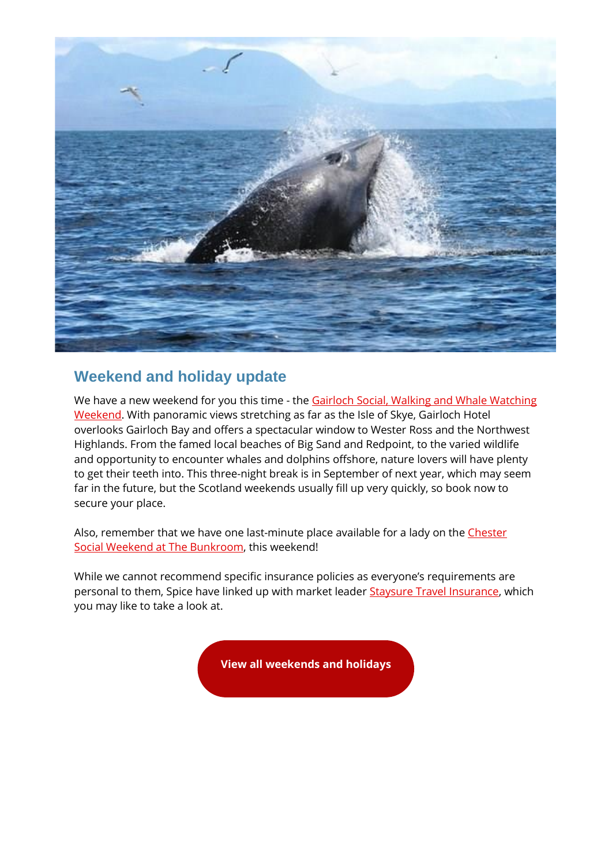

### **Weekend and holiday update**

We have a new weekend for you this time - the Gairloch Social, Walking and Whale Watching [Weekend.](https://spiceuk.lt.acemlna.com/Prod/link-tracker?redirectUrl=aHR0cHMlM0ElMkYlMkZ3d3cuc3BpY2V1ay5jb20lMkZldmVudHMtaG9saWRheXMlMkZnYWlybG9jaC1zb2NpYWwtd2Fsa2luZy1hbmQtd2hhbGUtd2F0Y2hpbmctd2Vla2VuZA==&sig=4spX9d9RjiwHbB1q8Q8ax6LZzLpHxQFATNQkdAi6evX6&iat=1655399179&a=%7C%7C650344965%7C%7C&account=spiceuk%2Eactivehosted%2Ecom&email=1lNuJE%2BrfgC%2F8jRYTdcwIV8mo4ad0FCroTtAVDq%2FbzQ%3D&s=b900027c55ea3ffe9431fd4817f89468&i=364A375A4A9644) With panoramic views stretching as far as the Isle of Skye, Gairloch Hotel overlooks Gairloch Bay and offers a spectacular window to Wester Ross and the Northwest Highlands. From the famed local beaches of Big Sand and Redpoint, to the varied wildlife and opportunity to encounter whales and dolphins offshore, nature lovers will have plenty to get their teeth into. This three-night break is in September of next year, which may seem far in the future, but the Scotland weekends usually fill up very quickly, so book now to secure your place.

Also, remember that we have one last-minute place available for a lady on the Chester [Social Weekend at The Bunkroom,](https://spiceuk.lt.acemlna.com/Prod/link-tracker?redirectUrl=aHR0cHMlM0ElMkYlMkZ3d3cuc3BpY2V1ay5jb20lMkZldmVudHMtaG9saWRheXMlMkZjaGVzdGVyLXNvY2lhbC13ZWVrZW5kLWF0LXRoZS1idW5rcm9vbQ==&sig=MY78Sqjq8WobRiuVL58mvjmPyHm3dyYi68Zu41awKRE&iat=1655399179&a=%7C%7C650344965%7C%7C&account=spiceuk%2Eactivehosted%2Ecom&email=1lNuJE%2BrfgC%2F8jRYTdcwIV8mo4ad0FCroTtAVDq%2FbzQ%3D&s=b900027c55ea3ffe9431fd4817f89468&i=364A375A4A9756) this weekend!

While we cannot recommend specific insurance policies as everyone's requirements are personal to them, Spice have linked up with market leader **Staysure Travel Insurance**, which you may like to take a look at.

**[View all weekends and holidays](https://spiceuk.lt.acemlna.com/Prod/link-tracker?redirectUrl=aHR0cHMlM0ElMkYlMkZ3d3cuc3BpY2V1ay5jb20lMkZldmVudHMtaG9saWRheXMlM0Zvd25lciUzREFsbCUyNm1hc3RlckNhdGVnb3J5JTNESG9saWRheXMlMjZtYXN0ZXJDYXRlZ29yeSUzRFdlZWtlbmRzJTI1MjBBd2F5&sig=2CPT7x4FcrBXCU6US6zPqZ9LmnrRKH4VMyXNCw658nB3&iat=1655399179&a=%7C%7C650344965%7C%7C&account=spiceuk%2Eactivehosted%2Ecom&email=1lNuJE%2BrfgC%2F8jRYTdcwIV8mo4ad0FCroTtAVDq%2FbzQ%3D&s=b900027c55ea3ffe9431fd4817f89468&i=364A375A4A9622)**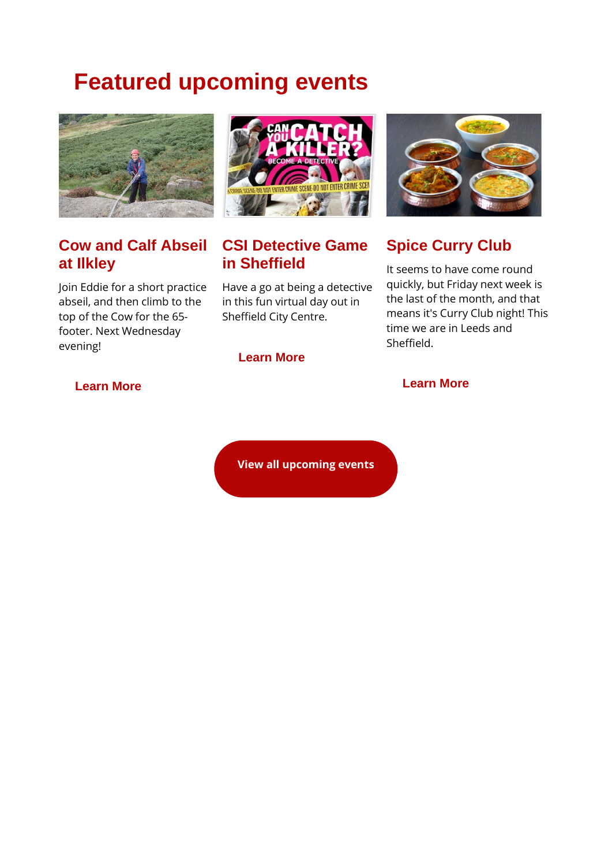# **Featured upcoming events**



# **Cow and Calf Abseil at Ilkley**

Join Eddie for a short practice abseil, and then climb to the top of the Cow for the 65 footer. Next Wednesday evening!



## **CSI Detective Game in Sheffield**

Have a go at being a detective in this fun virtual day out in Sheffield City Centre.



# **Spice Curry Club**

It seems to have come round quickly, but Friday next week is the last of the month, and that means it's Curry Club night! This time we are in Leeds and Sheffield.

### **[Learn More](https://spiceuk.lt.acemlna.com/Prod/link-tracker?redirectUrl=aHR0cHMlM0ElMkYlMkZ3d3cuc3BpY2V1ay5jb20lMkZldmVudHMtaG9saWRheXMlMkZjb3ctYW5kLWNhbGYtYWJzZWlsLWF0LWlsa2xleS0yMi1qdW4tMjI=&sig=B42ek4Rm9nvm4koD9yAovwbLwbNn35y53QwieqijNXRW&iat=1655399179&a=%7C%7C650344965%7C%7C&account=spiceuk%2Eactivehosted%2Ecom&email=1lNuJE%2BrfgC%2F8jRYTdcwIV8mo4ad0FCroTtAVDq%2FbzQ%3D&s=b900027c55ea3ffe9431fd4817f89468&i=364A375A4A9626)**

### **[Learn More](https://spiceuk.lt.acemlna.com/Prod/link-tracker?redirectUrl=aHR0cHMlM0ElMkYlMkZ3d3cuc3BpY2V1ay5jb20lMkZldmVudHMtaG9saWRheXMlMkZjc2ktZGV0ZWN0aXZlLWdhbWUtaW4tc2hlZmZpZWxk&sig=vNeEQJkG3eGtmEhUSZJCobHDokB8UCNFkfuJZ9X7CmT&iat=1655399179&a=%7C%7C650344965%7C%7C&account=spiceuk%2Eactivehosted%2Ecom&email=1lNuJE%2BrfgC%2F8jRYTdcwIV8mo4ad0FCroTtAVDq%2FbzQ%3D&s=b900027c55ea3ffe9431fd4817f89468&i=364A375A4A9645)**

#### **[Learn More](https://spiceuk.lt.acemlna.com/Prod/link-tracker?redirectUrl=aHR0cHMlM0ElMkYlMkZ3d3cuc3BpY2V1ay5jb20lMkZldmVudHMtaG9saWRheXMlMkZtdXNpYy1jbHViLXNoZWZmaWVsZC0xNS1qdW4tMjI=&sig=2E6FNe6QPHurbjTmZgRJPYBKt4o2dXhgojsBoLizKHhM&iat=1655399179&a=%7C%7C650344965%7C%7C&account=spiceuk%2Eactivehosted%2Ecom&email=1lNuJE%2BrfgC%2F8jRYTdcwIV8mo4ad0FCroTtAVDq%2FbzQ%3D&s=b900027c55ea3ffe9431fd4817f89468&i=364A375A4A9619)**

**[View all upcoming events](https://spiceuk.lt.acemlna.com/Prod/link-tracker?redirectUrl=aHR0cHMlM0ElMkYlMkZ3d3cuc3BpY2V1ay5jb20lMkZldmVudHMtaG9saWRheXMlM0ZtYXN0ZXJDYXRlZ29yeSUzREFsbCUyNmNhdGVnb3J5JTNEQWxsJTI2b3duZXIlM0RBbGw=&sig=5DMDy4npmKhjgXTYN9pCGPNkSeW7Ajcek2dsyEZKiz8Y&iat=1655399179&a=%7C%7C650344965%7C%7C&account=spiceuk%2Eactivehosted%2Ecom&email=1lNuJE%2BrfgC%2F8jRYTdcwIV8mo4ad0FCroTtAVDq%2FbzQ%3D&s=b900027c55ea3ffe9431fd4817f89468&i=364A375A4A9609)**